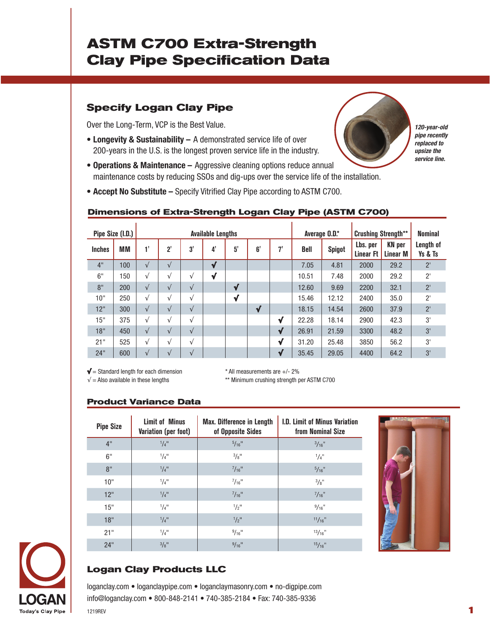# **ASTM C700 Extra-Strength Clay Pipe Specification Data**

## **Specify Logan Clay Pipe**

Over the Long-Term, VCP is the Best Value.

- **Longevity & Sustainability –** A demonstrated service life of over 200-years in the U.S. is the longest proven service life in the industry.
- **Operations & Maintenance –** Aggressive cleaning options reduce annual maintenance costs by reducing SSOs and dig-ups over the service life of the installation.
- **Accept No Substitute –** Specify Vitrified Clay Pipe according to ASTM C700.

| <u>nonono or exua ouongur eogan olay</u><br>$\sim$ 100 (200 m $\sim$ 00) |     |                          |            |            |    |              |              |              |               |               |                              |                                  |                      |
|--------------------------------------------------------------------------|-----|--------------------------|------------|------------|----|--------------|--------------|--------------|---------------|---------------|------------------------------|----------------------------------|----------------------|
| Pipe Size (I.D.)                                                         |     | <b>Available Lengths</b> |            |            |    |              |              |              | Average 0.D.* |               | <b>Crushing Strength**</b>   |                                  | <b>Nominal</b>       |
| <b>Inches</b>                                                            | МM  | 1'                       | 2'         | 3'         | 4' | 5'           | 6'           | 7'           | <b>Bell</b>   | <b>Spigot</b> | Lbs. per<br><b>Linear Ft</b> | <b>KN</b> per<br><b>Linear M</b> | Length of<br>Ys & Ts |
| 4"                                                                       | 100 | $\sqrt{ }$               | $\sqrt{ }$ |            | √  |              |              |              | 7.05          | 4.81          | 2000                         | 29.2                             | $2^{\prime}$         |
| 6"                                                                       | 150 | $\sqrt{ }$               | $\sqrt{ }$ | $\sqrt{ }$ | √  |              |              |              | 10.51         | 7.48          | 2000                         | 29.2                             | $2^{\prime}$         |
| 8"                                                                       | 200 | $\sqrt{ }$               | $\sqrt{ }$ | $\sqrt{ }$ |    | √            |              |              | 12.60         | 9.69          | 2200                         | 32.1                             | 2'                   |
| 10"                                                                      | 250 | $\sqrt{ }$               | $\sqrt{}$  | $\sqrt{ }$ |    | $\checkmark$ |              |              | 15.46         | 12.12         | 2400                         | 35.0                             | $2^{\prime}$         |
| 12"                                                                      | 300 | $\sqrt{ }$               | $\sqrt{ }$ | $\sqrt{ }$ |    |              | $\checkmark$ |              | 18.15         | 14.54         | 2600                         | 37.9                             | $2^{\prime}$         |
| 15"                                                                      | 375 | $\sqrt{ }$               | $\sqrt{}$  | $\sqrt{ }$ |    |              |              | $\sqrt{ }$   | 22.28         | 18.14         | 2900                         | 42.3                             | 3'                   |
| 18"                                                                      | 450 | $\sqrt{ }$               | $\sqrt{ }$ | $\sqrt{ }$ |    |              |              | $\checkmark$ | 26.91         | 21.59         | 3300                         | 48.2                             | 3'                   |
| 21"                                                                      | 525 | $\sqrt{ }$               | $\sqrt{ }$ | $\sqrt{ }$ |    |              |              | √            | 31.20         | 25.48         | 3850                         | 56.2                             | 3'                   |
| 24"                                                                      | 600 | $\sqrt{ }$               | $\sqrt{ }$ | $\sqrt{ }$ |    |              |              | $\checkmark$ | 35.45         | 29.05         | 4400                         | 64.2                             | 3'                   |

#### **Dimensions of Extra-Strength Logan Clay Pipe (ASTM C700)**

 $\sqrt{\frac{4}{5}}$  = Standard length for each dimension  $*$  All measurements are  $+/-$  2%

 $\sqrt{}$  = Also available in these lengths  $*$  \*\* Minimum crushing strength per ASTM C700

## **Product Variance Data**

| <b>Pipe Size</b> | <b>Limit of Minus</b><br>Variation (per foot) | <b>Max. Difference in Length</b><br>of Opposite Sides | I.D. Limit of Minus Variation<br>from Nominal Size |
|------------------|-----------------------------------------------|-------------------------------------------------------|----------------------------------------------------|
| 4"               | $1/4$ <sup>11</sup>                           | $5/16$ <sup>11</sup>                                  | $\frac{3}{16}$ "                                   |
| 6"               | $1/4$ <sup>11</sup>                           | $3/8$ <sup>11</sup>                                   | 1/4"                                               |
| 8"               | $1/4$ <sup>11</sup>                           | $^{7}/_{16}$ "                                        | $5/16$ "                                           |
| 10"              | $1/4$ <sup>11</sup>                           | $^{7}/_{16}$ <sup>11</sup>                            | 3/8"                                               |
| 12"              | $1/4$ <sup>11</sup>                           | $^{7}/_{16}$ <sup>11</sup>                            | $^{7}/_{16}$ "                                     |
| 15"              | $1/4$ <sup>11</sup>                           | $1/2$ <sup>11</sup>                                   | $9/16$ "                                           |
| 18"              | $1/4$ <sup>11</sup>                           | $\frac{1}{2}$ <sup>11</sup>                           | $11/16$ "                                          |
| 21"              | $1/4$ <sup>11</sup>                           | $9/16$ <sup>11</sup>                                  | $13/16$ "                                          |
| 24"              | $3/8$ <sup>11</sup>                           | $9/16$ <sup>11</sup>                                  | $15/16$ "                                          |



*120-year-old pipe recently replaced to upsize the service line.*



## **Logan Clay Products LLC**

loganclay.com • loganclaypipe.com • loganclaymasonry.com • no-digpipe.com info@loganclay.com • 800-848-2141 • 740-385-2184 • Fax: 740-385-9336 1219REV **1**